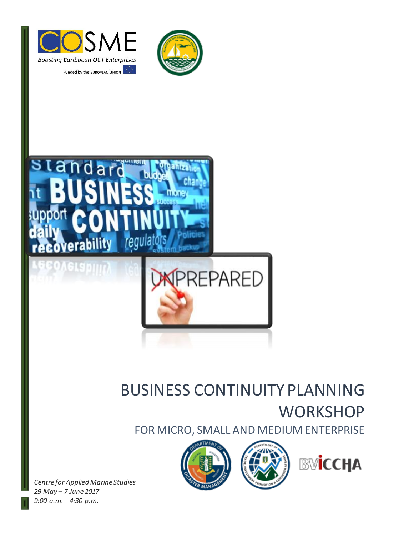





# BUSINESS CONTINUITY PLANNING **WORKSHOP**

FOR MICRO, SMALL AND MEDIUM ENTERPRISE





*Centre for Applied Marine Studies 29 May – 7 June 2017 9:00 a.m. – 4:30 p.m.*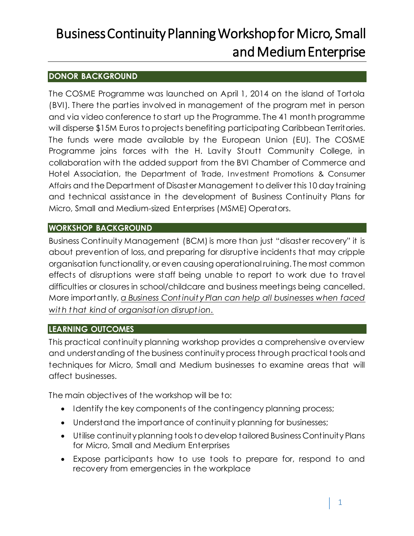## **DONOR BACKGROUND**

The COSME Programme was launched on April 1, 2014 on the island of Tortola (BVI). There the parties involved in management of the program met in person and via video conference to start up the Programme. The 41 month programme will disperse \$15M Euros to projects benefiting participating Caribbean Territories. The funds were made available by the European Union (EU). The COSME Programme joins forces with the H. Lavity Stoutt Community College, in collaboration with the added support from the BVI Chamber of Commerce and Hotel Association, the Department of Trade, Investment Promotions & Consumer Affairs and the Department of Disaster Management to deliver this 10 day training and technical assistance in the development of Business Continuity Plans for Micro, Small and Medium-sized Enterprises (MSME) Operators.

### **WORKSHOP BACKGROUND**

Business Continuity Management (BCM) is more than just "disaster recovery" it is about prevention of loss, and preparing for disruptive incidents that may cripple organisation functionality, or even causing operational ruining. The most common effects of disruptions were staff being unable to report to work due to travel difficulties or closures in school/childcare and business meetings being cancelled. More importantly, *a Business Cont inuit y Plan can help all businesses when faced wit h t hat kind of organisat ion disrupt ion.*

### **LEARNING OUTCOMES**

This practical continuity planning workshop provides a comprehensive overview and understanding of the business continuity process through practical tools and techniques for Micro, Small and Medium businesses to examine areas that will affect businesses.

The main objectives of the workshop will be to:

- Identify the key components of the contingency planning process;
- Understand the importance of continuity planning for businesses;
- Utilise continuity planning tools to develop tailored Business Continuity Plans for Micro, Small and Medium Enterprises
- Expose participants how to use tools to prepare for, respond to and recovery from emergencies in the workplace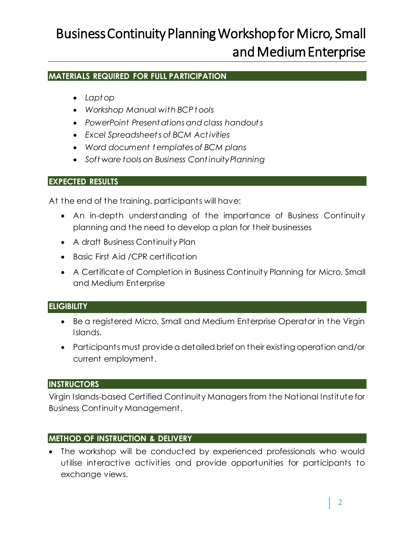#### **MATERIALS REQUIRED FOR FULL PARTICIPATION**

- *Lapt op*
- *Workshop Manual with BCP t ools*
- *PowerPoint Present ations and class handout s*
- *Excel Spreadsheet s of BCM Act ivities*
- *Word document t emplates of BCM plans*
- *Soft ware tools on Business Cont inuity Planning*

#### **EXPECTED RESULTS**

At the end of the training, participants will have:

- An in-depth understanding of the importance of Business Continuity planning and the need to develop a plan for their businesses
- A draft Business Continuity Plan
- Basic First Aid /CPR certification
- A Certificate of Completion in Business Continuity Planning for Micro, Small and Medium Enterprise

### **ELIGIBILITY**

- Be a registered Micro, Small and Medium Enterprise Operator in the Virgin Islands.
- Participants must provide a detailed brief on their existing operation and/or current employment.

### **INSTRUCTORS**

Virgin Islands-based Certified Continuity Managers from the National Institute for Business Continuity Management.

### **METHOD OF INSTRUCTION & DELIVERY**

 The workshop will be conducted by experienced professionals who would utilise interactive activities and provide opportunities for participants to exchange views.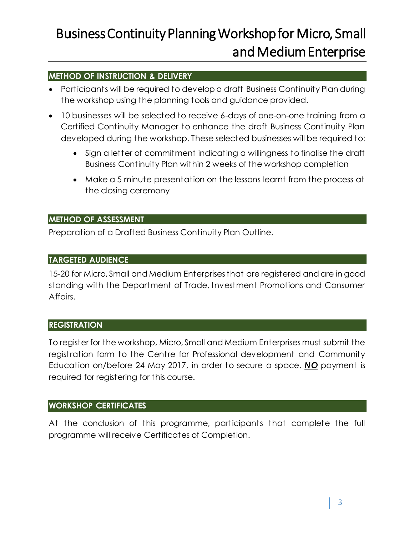### **METHOD OF INSTRUCTION & DELIVERY**

- Participants will be required to develop a draft Business Continuity Plan during the workshop using the planning tools and guidance provided.
- 10 businesses will be selected to receive 6-days of one-on-one training from a Certified Continuity Manager to enhance the draft Business Continuity Plan developed during the workshop. These selected businesses will be required to:
	- Sign a letter of commitment indicating a willingness to finalise the draft Business Continuity Plan within 2 weeks of the workshop completion
	- Make a 5 minute presentation on the lessons learnt from the process at the closing ceremony

#### **METHOD OF ASSESSMENT**

Preparation of a Drafted Business Continuity Plan Outline.

#### **TARGETED AUDIENCE**

15-20 for Micro, Small and Medium Enterprises that are registered and are in good standing with the Department of Trade, Investment Promotions and Consumer Affairs.

#### **REGISTRATION**

To register for the workshop, Micro, Small and Medium Enterprises must submit the registration form to the Centre for Professional development and Community Education on/before 24 May 2017, in order to secure a space. *NO* payment is required for registering for this course.

#### **WORKSHOP CERTIFICATES**

At the conclusion of this programme, participants that complete the full programme will receive Certificates of Completion.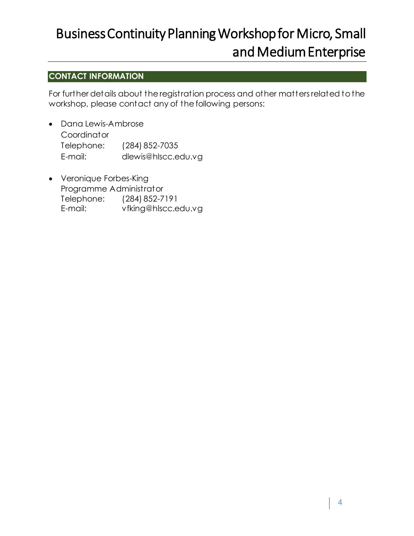# **CONTACT INFORMATION**

For further details about the registration process and other matters related to the workshop, please contact any of the following persons:

- Dana Lewis-Ambrose **Coordinator** Telephone: (284) 852-7035 E-mail: dlewis@hlscc.edu.vg
- Veronique Forbes-King Programme Administrator Telephone: (284) 852-7191 E-mail: vfking@hlscc.edu.vg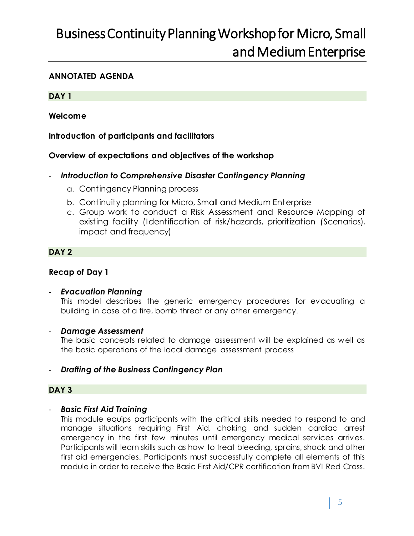#### **ANNOTATED AGENDA**

#### **DAY 1**

#### **Welcome**

#### **Introduction of participants and facilitators**

#### **Overview of expectations and objectives of the workshop**

#### - *Introduction to Comprehensive Disaster Contingency Planning*

- a. Contingency Planning process
- b. Continuity planning for Micro, Small and Medium Enterprise
- c. Group work to conduct a Risk Assessment and Resource Mapping of existing facility (Identification of risk/hazards, prioritization (Scenarios), impact and frequency)

#### **DAY 2**

#### **Recap of Day 1**

#### - *Evacuation Planning*

This model describes the generic emergency procedures for evacuating a building in case of a fire, bomb threat or any other emergency.

#### - *Damage Assessment*

The basic concepts related to damage assessment will be explained as well as the basic operations of the local damage assessment process

#### - *Drafting of the Business Contingency Plan*

#### **DAY 3**

#### - *Basic First Aid Training*

This module equips participants with the critical skills needed to respond to and manage situations requiring First Aid, choking and sudden cardiac arrest emergency in the first few minutes until emergency medical services arrives. Participants will learn skills such as how to treat bleeding, sprains, shock and other first aid emergencies. Participants must successfully complete all elements of this module in order to receive the Basic First Aid/CPR certification from BVI Red Cross.